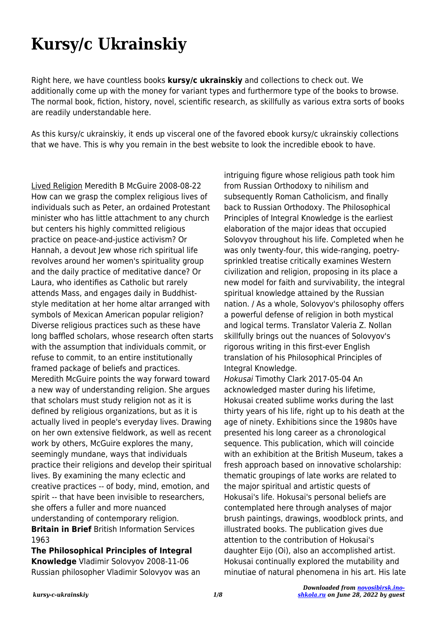## **Kursy/c Ukrainskiy**

Right here, we have countless books **kursy/c ukrainskiy** and collections to check out. We additionally come up with the money for variant types and furthermore type of the books to browse. The normal book, fiction, history, novel, scientific research, as skillfully as various extra sorts of books are readily understandable here.

As this kursy/c ukrainskiy, it ends up visceral one of the favored ebook kursy/c ukrainskiy collections that we have. This is why you remain in the best website to look the incredible ebook to have.

Lived Religion Meredith B McGuire 2008-08-22 How can we grasp the complex religious lives of individuals such as Peter, an ordained Protestant minister who has little attachment to any church but centers his highly committed religious practice on peace-and-justice activism? Or Hannah, a devout Jew whose rich spiritual life revolves around her women's spirituality group and the daily practice of meditative dance? Or Laura, who identifies as Catholic but rarely attends Mass, and engages daily in Buddhiststyle meditation at her home altar arranged with symbols of Mexican American popular religion? Diverse religious practices such as these have long baffled scholars, whose research often starts with the assumption that individuals commit, or refuse to commit, to an entire institutionally framed package of beliefs and practices. Meredith McGuire points the way forward toward a new way of understanding religion. She argues that scholars must study religion not as it is defined by religious organizations, but as it is actually lived in people's everyday lives. Drawing on her own extensive fieldwork, as well as recent work by others, McGuire explores the many, seemingly mundane, ways that individuals practice their religions and develop their spiritual lives. By examining the many eclectic and creative practices -- of body, mind, emotion, and spirit -- that have been invisible to researchers, she offers a fuller and more nuanced understanding of contemporary religion. **Britain in Brief** British Information Services 1963

**The Philosophical Principles of Integral Knowledge** Vladimir Solovyov 2008-11-06 Russian philosopher Vladimir Solovyov was an intriguing figure whose religious path took him from Russian Orthodoxy to nihilism and subsequently Roman Catholicism, and finally back to Russian Orthodoxy. The Philosophical Principles of Integral Knowledge is the earliest elaboration of the major ideas that occupied Solovyov throughout his life. Completed when he was only twenty-four, this wide-ranging, poetrysprinkled treatise critically examines Western civilization and religion, proposing in its place a new model for faith and survivability, the integral spiritual knowledge attained by the Russian nation. / As a whole, Solovyov's philosophy offers a powerful defense of religion in both mystical and logical terms. Translator Valeria Z. Nollan skillfully brings out the nuances of Solovyov's rigorous writing in this first-ever English translation of his Philosophical Principles of Integral Knowledge.

Hokusai Timothy Clark 2017-05-04 An acknowledged master during his lifetime, Hokusai created sublime works during the last thirty years of his life, right up to his death at the age of ninety. Exhibitions since the 1980s have presented his long career as a chronological sequence. This publication, which will coincide with an exhibition at the British Museum, takes a fresh approach based on innovative scholarship: thematic groupings of late works are related to the major spiritual and artistic quests of Hokusai's life. Hokusai's personal beliefs are contemplated here through analyses of major brush paintings, drawings, woodblock prints, and illustrated books. The publication gives due attention to the contribution of Hokusai's daughter Eijo (Oi), also an accomplished artist. Hokusai continually explored the mutability and minutiae of natural phenomena in his art. His late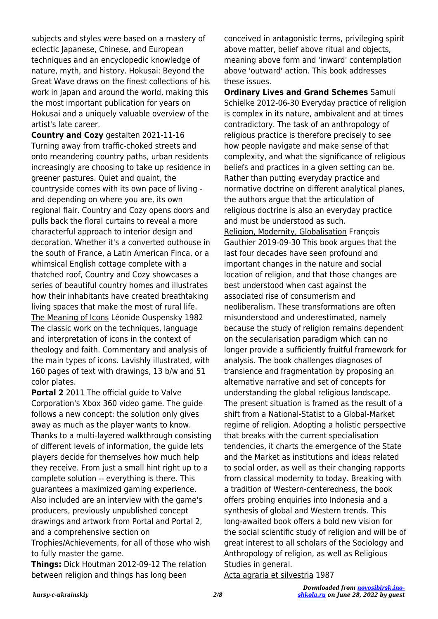subjects and styles were based on a mastery of eclectic Japanese, Chinese, and European techniques and an encyclopedic knowledge of nature, myth, and history. Hokusai: Beyond the Great Wave draws on the finest collections of his work in Japan and around the world, making this the most important publication for years on Hokusai and a uniquely valuable overview of the artist's late career.

**Country and Cozy** gestalten 2021-11-16 Turning away from traffic-choked streets and onto meandering country paths, urban residents increasingly are choosing to take up residence in greener pastures. Quiet and quaint, the countryside comes with its own pace of living and depending on where you are, its own regional flair. Country and Cozy opens doors and pulls back the floral curtains to reveal a more characterful approach to interior design and decoration. Whether it's a converted outhouse in the south of France, a Latin American Finca, or a whimsical English cottage complete with a thatched roof, Country and Cozy showcases a series of beautiful country homes and illustrates how their inhabitants have created breathtaking living spaces that make the most of rural life. The Meaning of Icons Léonide Ouspensky 1982 The classic work on the techniques, language and interpretation of icons in the context of theology and faith. Commentary and analysis of the main types of icons. Lavishly illustrated, with 160 pages of text with drawings, 13 b/w and 51 color plates.

**Portal 2** 2011 The official guide to Valve Corporation's Xbox 360 video game. The guide follows a new concept: the solution only gives away as much as the player wants to know. Thanks to a multi-layered walkthrough consisting of different levels of information, the guide lets players decide for themselves how much help they receive. From just a small hint right up to a complete solution -- everything is there. This guarantees a maximized gaming experience. Also included are an interview with the game's producers, previously unpublished concept drawings and artwork from Portal and Portal 2, and a comprehensive section on Trophies/Achievements, for all of those who wish to fully master the game.

**Things:** Dick Houtman 2012-09-12 The relation between religion and things has long been

conceived in antagonistic terms, privileging spirit above matter, belief above ritual and objects, meaning above form and 'inward' contemplation above 'outward' action. This book addresses these issues.

**Ordinary Lives and Grand Schemes** Samuli Schielke 2012-06-30 Everyday practice of religion is complex in its nature, ambivalent and at times contradictory. The task of an anthropology of religious practice is therefore precisely to see how people navigate and make sense of that complexity, and what the significance of religious beliefs and practices in a given setting can be. Rather than putting everyday practice and normative doctrine on different analytical planes, the authors argue that the articulation of religious doctrine is also an everyday practice and must be understood as such. Religion, Modernity, Globalisation François Gauthier 2019-09-30 This book argues that the last four decades have seen profound and important changes in the nature and social location of religion, and that those changes are best understood when cast against the associated rise of consumerism and neoliberalism. These transformations are often misunderstood and underestimated, namely because the study of religion remains dependent on the secularisation paradigm which can no longer provide a sufficiently fruitful framework for analysis. The book challenges diagnoses of transience and fragmentation by proposing an alternative narrative and set of concepts for understanding the global religious landscape. The present situation is framed as the result of a shift from a National-Statist to a Global-Market regime of religion. Adopting a holistic perspective that breaks with the current specialisation tendencies, it charts the emergence of the State and the Market as institutions and ideas related to social order, as well as their changing rapports from classical modernity to today. Breaking with a tradition of Western-centeredness, the book offers probing enquiries into Indonesia and a synthesis of global and Western trends. This long-awaited book offers a bold new vision for the social scientific study of religion and will be of great interest to all scholars of the Sociology and Anthropology of religion, as well as Religious Studies in general.

Acta agraria et silvestria 1987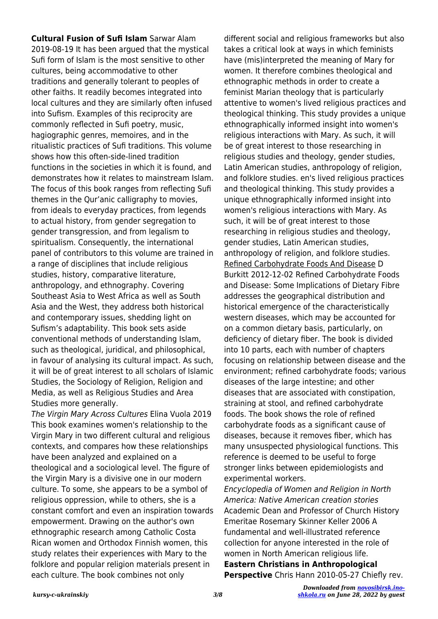**Cultural Fusion of Sufi Islam** Sarwar Alam 2019-08-19 It has been argued that the mystical Sufi form of Islam is the most sensitive to other cultures, being accommodative to other traditions and generally tolerant to peoples of other faiths. It readily becomes integrated into local cultures and they are similarly often infused into Sufism. Examples of this reciprocity are commonly reflected in Sufi poetry, music, hagiographic genres, memoires, and in the ritualistic practices of Sufi traditions. This volume shows how this often-side-lined tradition functions in the societies in which it is found, and demonstrates how it relates to mainstream Islam. The focus of this book ranges from reflecting Sufi themes in the Qur'anic calligraphy to movies, from ideals to everyday practices, from legends to actual history, from gender segregation to gender transgression, and from legalism to spiritualism. Consequently, the international panel of contributors to this volume are trained in a range of disciplines that include religious studies, history, comparative literature, anthropology, and ethnography. Covering Southeast Asia to West Africa as well as South Asia and the West, they address both historical and contemporary issues, shedding light on Sufism's adaptability. This book sets aside conventional methods of understanding Islam, such as theological, juridical, and philosophical, in favour of analysing its cultural impact. As such, it will be of great interest to all scholars of Islamic Studies, the Sociology of Religion, Religion and Media, as well as Religious Studies and Area Studies more generally.

The Virgin Mary Across Cultures Elina Vuola 2019 This book examines women's relationship to the Virgin Mary in two different cultural and religious contexts, and compares how these relationships have been analyzed and explained on a theological and a sociological level. The figure of the Virgin Mary is a divisive one in our modern culture. To some, she appears to be a symbol of religious oppression, while to others, she is a constant comfort and even an inspiration towards empowerment. Drawing on the author's own ethnographic research among Catholic Costa Rican women and Orthodox Finnish women, this study relates their experiences with Mary to the folklore and popular religion materials present in each culture. The book combines not only

different social and religious frameworks but also takes a critical look at ways in which feminists have (mis)interpreted the meaning of Mary for women. It therefore combines theological and ethnographic methods in order to create a feminist Marian theology that is particularly attentive to women's lived religious practices and theological thinking. This study provides a unique ethnographically informed insight into women's religious interactions with Mary. As such, it will be of great interest to those researching in religious studies and theology, gender studies, Latin American studies, anthropology of religion, and folklore studies. en's lived religious practices and theological thinking. This study provides a unique ethnographically informed insight into women's religious interactions with Mary. As such, it will be of great interest to those researching in religious studies and theology, gender studies, Latin American studies, anthropology of religion, and folklore studies. Refined Carbohydrate Foods And Disease D Burkitt 2012-12-02 Refined Carbohydrate Foods and Disease: Some Implications of Dietary Fibre addresses the geographical distribution and historical emergence of the characteristically western diseases, which may be accounted for on a common dietary basis, particularly, on deficiency of dietary fiber. The book is divided into 10 parts, each with number of chapters focusing on relationship between disease and the environment; refined carbohydrate foods; various diseases of the large intestine; and other diseases that are associated with constipation, straining at stool, and refined carbohydrate foods. The book shows the role of refined carbohydrate foods as a significant cause of diseases, because it removes fiber, which has many unsuspected physiological functions. This reference is deemed to be useful to forge stronger links between epidemiologists and experimental workers.

Encyclopedia of Women and Religion in North America: Native American creation stories Academic Dean and Professor of Church History Emeritae Rosemary Skinner Keller 2006 A fundamental and well-illustrated reference collection for anyone interested in the role of women in North American religious life. **Eastern Christians in Anthropological**

**Perspective** Chris Hann 2010-05-27 Chiefly rev.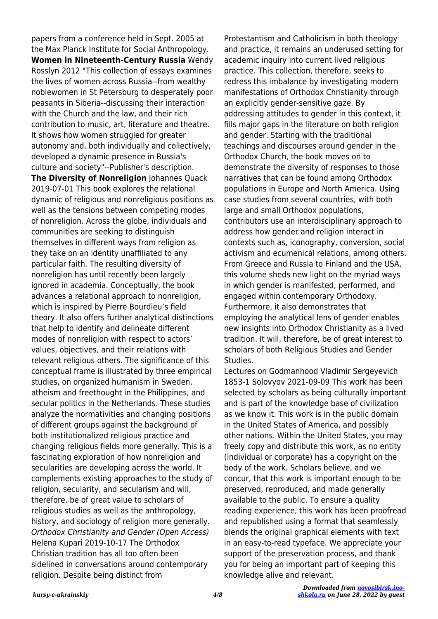papers from a conference held in Sept. 2005 at the Max Planck Institute for Social Anthropology. **Women in Nineteenth-Century Russia** Wendy Rosslyn 2012 "This collection of essays examines the lives of women across Russia--from wealthy noblewomen in St Petersburg to desperately poor peasants in Siberia--discussing their interaction with the Church and the law, and their rich contribution to music, art, literature and theatre. It shows how women struggled for greater autonomy and, both individually and collectively, developed a dynamic presence in Russia's culture and society"--Publisher's description. **The Diversity of Nonreligion** Johannes Quack 2019-07-01 This book explores the relational dynamic of religious and nonreligious positions as well as the tensions between competing modes of nonreligion. Across the globe, individuals and communities are seeking to distinguish themselves in different ways from religion as they take on an identity unaffiliated to any particular faith. The resulting diversity of nonreligion has until recently been largely ignored in academia. Conceptually, the book advances a relational approach to nonreligion, which is inspired by Pierre Bourdieu's field theory. It also offers further analytical distinctions that help to identify and delineate different modes of nonreligion with respect to actors' values, objectives, and their relations with relevant religious others. The significance of this conceptual frame is illustrated by three empirical studies, on organized humanism in Sweden, atheism and freethought in the Philippines, and secular politics in the Netherlands. These studies analyze the normativities and changing positions of different groups against the background of both institutionalized religious practice and changing religious fields more generally. This is a fascinating exploration of how nonreligion and secularities are developing across the world. It complements existing approaches to the study of religion, secularity, and secularism and will, therefore, be of great value to scholars of religious studies as well as the anthropology, history, and sociology of religion more generally. Orthodox Christianity and Gender (Open Access) Helena Kupari 2019-10-17 The Orthodox Christian tradition has all too often been sidelined in conversations around contemporary religion. Despite being distinct from

Protestantism and Catholicism in both theology and practice, it remains an underused setting for academic inquiry into current lived religious practice. This collection, therefore, seeks to redress this imbalance by investigating modern manifestations of Orthodox Christianity through an explicitly gender-sensitive gaze. By addressing attitudes to gender in this context, it fills major gaps in the literature on both religion and gender. Starting with the traditional teachings and discourses around gender in the Orthodox Church, the book moves on to demonstrate the diversity of responses to those narratives that can be found among Orthodox populations in Europe and North America. Using case studies from several countries, with both large and small Orthodox populations, contributors use an interdisciplinary approach to address how gender and religion interact in contexts such as, iconography, conversion, social activism and ecumenical relations, among others. From Greece and Russia to Finland and the USA, this volume sheds new light on the myriad ways in which gender is manifested, performed, and engaged within contemporary Orthodoxy. Furthermore, it also demonstrates that employing the analytical lens of gender enables new insights into Orthodox Christianity as a lived tradition. It will, therefore, be of great interest to scholars of both Religious Studies and Gender Studies.

Lectures on Godmanhood Vladimir Sergeyevich 1853-1 Solovyov 2021-09-09 This work has been selected by scholars as being culturally important and is part of the knowledge base of civilization as we know it. This work is in the public domain in the United States of America, and possibly other nations. Within the United States, you may freely copy and distribute this work, as no entity (individual or corporate) has a copyright on the body of the work. Scholars believe, and we concur, that this work is important enough to be preserved, reproduced, and made generally available to the public. To ensure a quality reading experience, this work has been proofread and republished using a format that seamlessly blends the original graphical elements with text in an easy-to-read typeface. We appreciate your support of the preservation process, and thank you for being an important part of keeping this knowledge alive and relevant.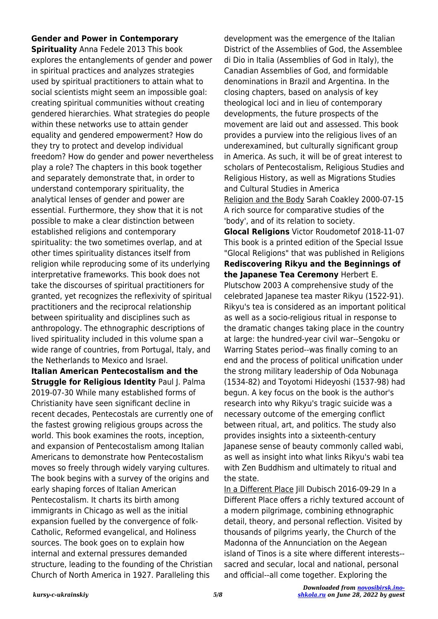## **Gender and Power in Contemporary**

**Spirituality** Anna Fedele 2013 This book explores the entanglements of gender and power in spiritual practices and analyzes strategies used by spiritual practitioners to attain what to social scientists might seem an impossible goal: creating spiritual communities without creating gendered hierarchies. What strategies do people within these networks use to attain gender equality and gendered empowerment? How do they try to protect and develop individual freedom? How do gender and power nevertheless play a role? The chapters in this book together and separately demonstrate that, in order to understand contemporary spirituality, the analytical lenses of gender and power are essential. Furthermore, they show that it is not possible to make a clear distinction between established religions and contemporary spirituality: the two sometimes overlap, and at other times spirituality distances itself from religion while reproducing some of its underlying interpretative frameworks. This book does not take the discourses of spiritual practitioners for granted, yet recognizes the reflexivity of spiritual practitioners and the reciprocal relationship between spirituality and disciplines such as anthropology. The ethnographic descriptions of lived spirituality included in this volume span a wide range of countries, from Portugal, Italy, and the Netherlands to Mexico and Israel.

**Italian American Pentecostalism and the Struggle for Religious Identity Paul J. Palma** 2019-07-30 While many established forms of Christianity have seen significant decline in recent decades, Pentecostals are currently one of the fastest growing religious groups across the world. This book examines the roots, inception, and expansion of Pentecostalism among Italian Americans to demonstrate how Pentecostalism moves so freely through widely varying cultures. The book begins with a survey of the origins and early shaping forces of Italian American Pentecostalism. It charts its birth among immigrants in Chicago as well as the initial expansion fuelled by the convergence of folk-Catholic, Reformed evangelical, and Holiness sources. The book goes on to explain how internal and external pressures demanded structure, leading to the founding of the Christian Church of North America in 1927. Paralleling this

development was the emergence of the Italian District of the Assemblies of God, the Assemblee di Dio in Italia (Assemblies of God in Italy), the Canadian Assemblies of God, and formidable denominations in Brazil and Argentina. In the closing chapters, based on analysis of key theological loci and in lieu of contemporary developments, the future prospects of the movement are laid out and assessed. This book provides a purview into the religious lives of an underexamined, but culturally significant group in America. As such, it will be of great interest to scholars of Pentecostalism, Religious Studies and Religious History, as well as Migrations Studies and Cultural Studies in America Religion and the Body Sarah Coakley 2000-07-15 A rich source for comparative studies of the 'body', and of its relation to society.

**Glocal Religions** Victor Roudometof 2018-11-07 This book is a printed edition of the Special Issue "Glocal Religions" that was published in Religions **Rediscovering Rikyu and the Beginnings of the Japanese Tea Ceremony** Herbert E. Plutschow 2003 A comprehensive study of the celebrated Japanese tea master Rikyu (1522-91). Rikyu's tea is considered as an important political as well as a socio-religious ritual in response to the dramatic changes taking place in the country at large: the hundred-year civil war--Sengoku or Warring States period--was finally coming to an end and the process of political unification under the strong military leadership of Oda Nobunaga (1534-82) and Toyotomi Hideyoshi (1537-98) had begun. A key focus on the book is the author's research into why Rikyu's tragic suicide was a necessary outcome of the emerging conflict between ritual, art, and politics. The study also provides insights into a sixteenth-century Japanese sense of beauty commonly called wabi, as well as insight into what links Rikyu's wabi tea with Zen Buddhism and ultimately to ritual and the state.

In a Different Place Jill Dubisch 2016-09-29 In a Different Place offers a richly textured account of a modern pilgrimage, combining ethnographic detail, theory, and personal reflection. Visited by thousands of pilgrims yearly, the Church of the Madonna of the Annunciation on the Aegean island of Tinos is a site where different interests- sacred and secular, local and national, personal and official--all come together. Exploring the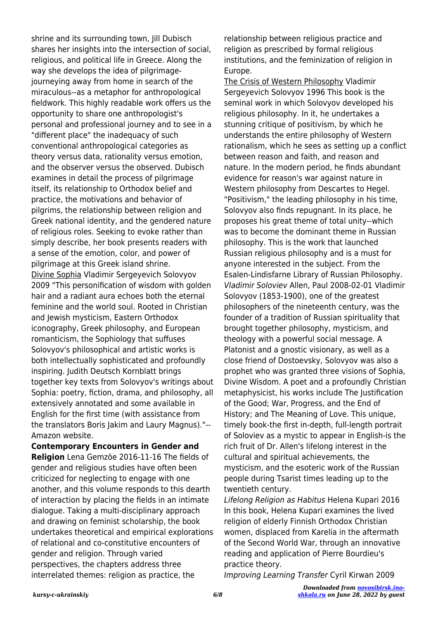shrine and its surrounding town, Jill Dubisch shares her insights into the intersection of social, religious, and political life in Greece. Along the way she develops the idea of pilgrimagejourneying away from home in search of the miraculous--as a metaphor for anthropological fieldwork. This highly readable work offers us the opportunity to share one anthropologist's personal and professional journey and to see in a "different place" the inadequacy of such conventional anthropological categories as theory versus data, rationality versus emotion, and the observer versus the observed. Dubisch examines in detail the process of pilgrimage itself, its relationship to Orthodox belief and practice, the motivations and behavior of pilgrims, the relationship between religion and Greek national identity, and the gendered nature of religious roles. Seeking to evoke rather than simply describe, her book presents readers with a sense of the emotion, color, and power of pilgrimage at this Greek island shrine. Divine Sophia Vladimir Sergeyevich Solovyov 2009 "This personification of wisdom with golden hair and a radiant aura echoes both the eternal feminine and the world soul. Rooted in Christian and Jewish mysticism, Eastern Orthodox iconography, Greek philosophy, and European romanticism, the Sophiology that suffuses Solovyov's philosophical and artistic works is both intellectually sophisticated and profoundly inspiring. Judith Deutsch Kornblatt brings together key texts from Solovyov's writings about Sophia: poetry, fiction, drama, and philosophy, all extensively annotated and some available in English for the first time (with assistance from the translators Boris Jakim and Laury Magnus)."-- Amazon website.

**Contemporary Encounters in Gender and Religion** Lena Gemzöe 2016-11-16 The fields of gender and religious studies have often been criticized for neglecting to engage with one another, and this volume responds to this dearth of interaction by placing the fields in an intimate dialogue. Taking a multi-disciplinary approach and drawing on feminist scholarship, the book undertakes theoretical and empirical explorations of relational and co-constitutive encounters of gender and religion. Through varied perspectives, the chapters address three interrelated themes: religion as practice, the

relationship between religious practice and religion as prescribed by formal religious institutions, and the feminization of religion in Europe.

The Crisis of Western Philosophy Vladimir Sergeyevich Solovyov 1996 This book is the seminal work in which Solovyov developed his religious philosophy. In it, he undertakes a stunning critique of positivism, by which he understands the entire philosophy of Western rationalism, which he sees as setting up a conflict between reason and faith, and reason and nature. In the modern period, he finds abundant evidence for reason's war against nature in Western philosophy from Descartes to Hegel. "Positivism," the leading philosophy in his time, Solovyov also finds repugnant. In its place, he proposes his great theme of total unity--which was to become the dominant theme in Russian philosophy. This is the work that launched Russian religious philosophy and is a must for anyone interested in the subject. From the Esalen-Lindisfarne Library of Russian Philosophy. Vladimir Soloviev Allen, Paul 2008-02-01 Vladimir Solovyov (1853-1900), one of the greatest philosophers of the nineteenth century, was the founder of a tradition of Russian spirituality that brought together philosophy, mysticism, and theology with a powerful social message. A Platonist and a gnostic visionary, as well as a close friend of Dostoevsky, Solovyov was also a prophet who was granted three visions of Sophia, Divine Wisdom. A poet and a profoundly Christian metaphysicist, his works include The Justification of the Good; War, Progress, and the End of History; and The Meaning of Love. This unique, timely book-the first in-depth, full-length portrait of Soloviev as a mystic to appear in English-is the rich fruit of Dr. Allen's lifelong interest in the cultural and spiritual achievements, the mysticism, and the esoteric work of the Russian people during Tsarist times leading up to the twentieth century.

Lifelong Religion as Habitus Helena Kupari 2016 In this book, Helena Kupari examines the lived religion of elderly Finnish Orthodox Christian women, displaced from Karelia in the aftermath of the Second World War, through an innovative reading and application of Pierre Bourdieu's practice theory.

Improving Learning Transfer Cyril Kirwan 2009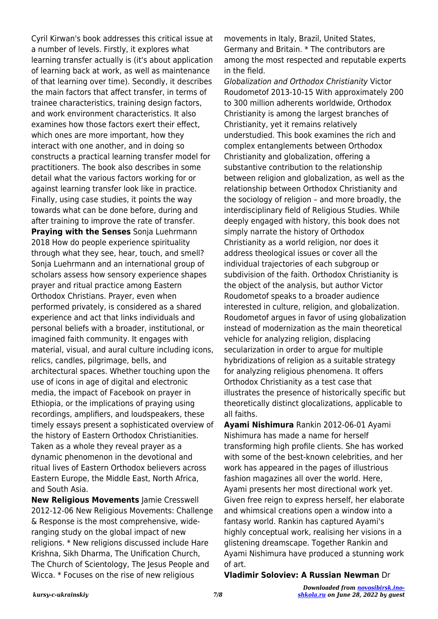Cyril Kirwan's book addresses this critical issue at a number of levels. Firstly, it explores what learning transfer actually is (it's about application of learning back at work, as well as maintenance of that learning over time). Secondly, it describes the main factors that affect transfer, in terms of trainee characteristics, training design factors, and work environment characteristics. It also examines how those factors exert their effect, which ones are more important, how they interact with one another, and in doing so constructs a practical learning transfer model for practitioners. The book also describes in some detail what the various factors working for or against learning transfer look like in practice. Finally, using case studies, it points the way towards what can be done before, during and after training to improve the rate of transfer. **Praying with the Senses** Sonja Luehrmann 2018 How do people experience spirituality through what they see, hear, touch, and smell? Sonja Luehrmann and an international group of scholars assess how sensory experience shapes prayer and ritual practice among Eastern Orthodox Christians. Prayer, even when performed privately, is considered as a shared experience and act that links individuals and personal beliefs with a broader, institutional, or imagined faith community. It engages with material, visual, and aural culture including icons, relics, candles, pilgrimage, bells, and architectural spaces. Whether touching upon the use of icons in age of digital and electronic media, the impact of Facebook on prayer in Ethiopia, or the implications of praying using recordings, amplifiers, and loudspeakers, these timely essays present a sophisticated overview of the history of Eastern Orthodox Christianities. Taken as a whole they reveal prayer as a dynamic phenomenon in the devotional and ritual lives of Eastern Orthodox believers across Eastern Europe, the Middle East, North Africa, and South Asia.

**New Religious Movements** Jamie Cresswell 2012-12-06 New Religious Movements: Challenge & Response is the most comprehensive, wideranging study on the global impact of new religions. \* New religions discussed include Hare Krishna, Sikh Dharma, The Unification Church, The Church of Scientology, The Jesus People and Wicca. \* Focuses on the rise of new religious

movements in Italy, Brazil, United States, Germany and Britain. \* The contributors are among the most respected and reputable experts in the field.

Globalization and Orthodox Christianity Victor Roudometof 2013-10-15 With approximately 200 to 300 million adherents worldwide, Orthodox Christianity is among the largest branches of Christianity, yet it remains relatively understudied. This book examines the rich and complex entanglements between Orthodox Christianity and globalization, offering a substantive contribution to the relationship between religion and globalization, as well as the relationship between Orthodox Christianity and the sociology of religion – and more broadly, the interdisciplinary field of Religious Studies. While deeply engaged with history, this book does not simply narrate the history of Orthodox Christianity as a world religion, nor does it address theological issues or cover all the individual trajectories of each subgroup or subdivision of the faith. Orthodox Christianity is the object of the analysis, but author Victor Roudometof speaks to a broader audience interested in culture, religion, and globalization. Roudometof argues in favor of using globalization instead of modernization as the main theoretical vehicle for analyzing religion, displacing secularization in order to argue for multiple hybridizations of religion as a suitable strategy for analyzing religious phenomena. It offers Orthodox Christianity as a test case that illustrates the presence of historically specific but theoretically distinct glocalizations, applicable to all faiths.

**Ayami Nishimura** Rankin 2012-06-01 Ayami Nishimura has made a name for herself transforming high profile clients. She has worked with some of the best-known celebrities, and her work has appeared in the pages of illustrious fashion magazines all over the world. Here, Ayami presents her most directional work yet. Given free reign to express herself, her elaborate and whimsical creations open a window into a fantasy world. Rankin has captured Ayami's highly conceptual work, realising her visions in a glistening dreamscape. Together Rankin and Ayami Nishimura have produced a stunning work of art.

## **Vladimir Soloviev: A Russian Newman** Dr